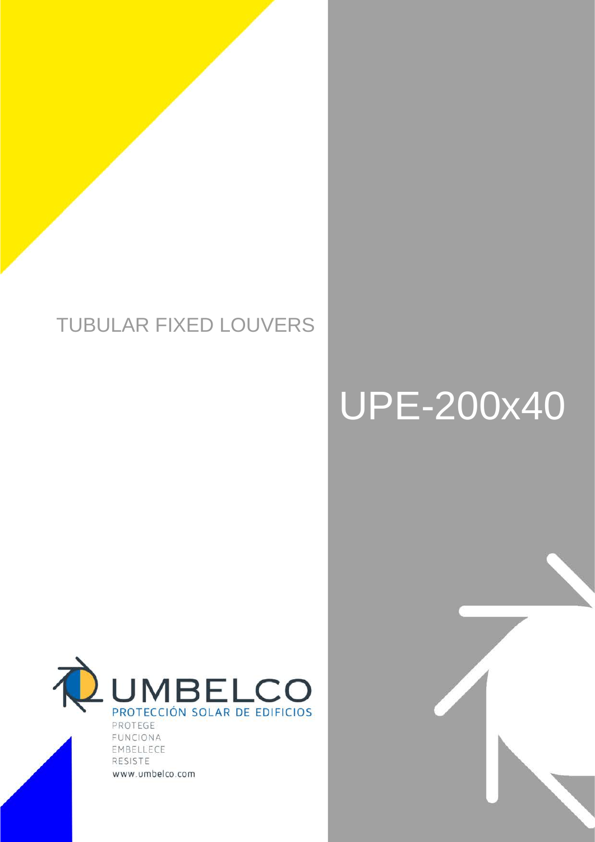# TUBULAR FIXED LOUVERS

# UPE-200x40



FUNCIONA EMBELLECE RESISTE www.umbelco.com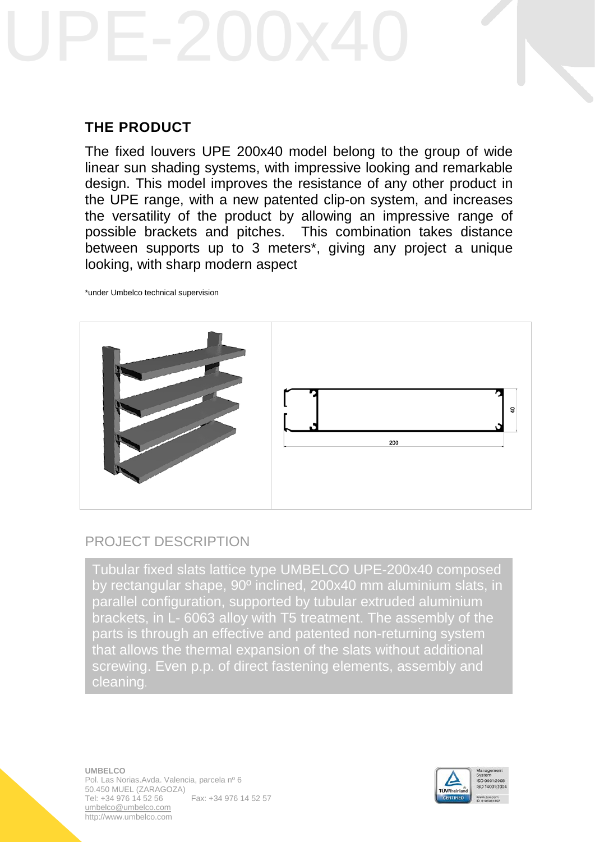# **THE PRODUCT**

The fixed louvers UPE 200x40 model belong to the group of wide linear sun shading systems, with impressive looking and remarkable design. This model improves the resistance of any other product in the UPE range, with a new patented clip-on system, and increases the versatility of the product by allowing an impressive range of possible brackets and pitches. This combination takes distance between supports up to 3 meters\*, giving any project a unique looking, with sharp modern aspect

\*under Umbelco technical supervision



# PROJECT DESCRIPTION

Tubular fixed slats lattice type UMBELCO UPE-200x40 composed by rectangular shape, 90º inclined, 200x40 mm aluminium slats, in parallel configuration, supported by tubular extruded aluminium brackets, in L- 6063 alloy with T5 treatment. The assembly of the parts is through an effective and patented non-returning system that allows the thermal expansion of the slats without additional screwing. Even p.p. of direct fastening elements, assembly and cleaning.

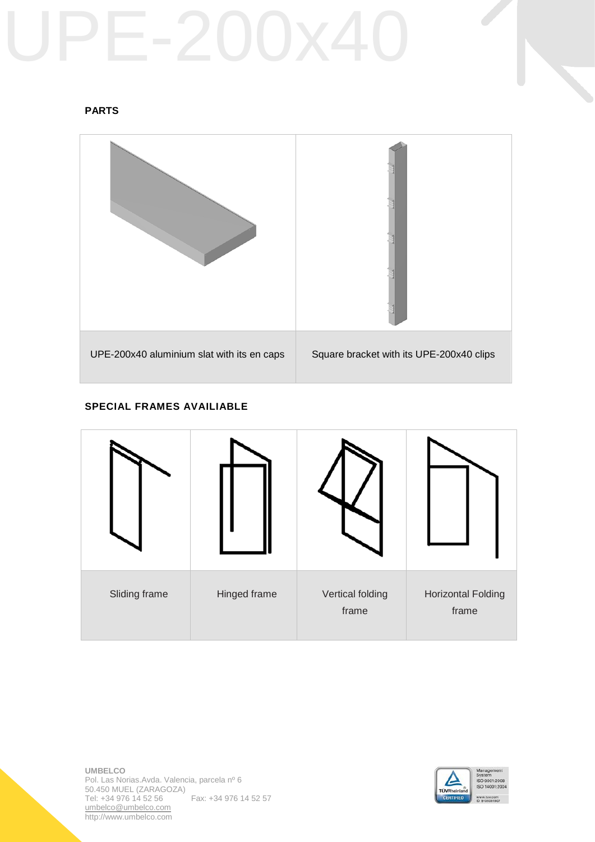# **PARTS**



# **SPECIAL FRAMES AVAILIABLE**



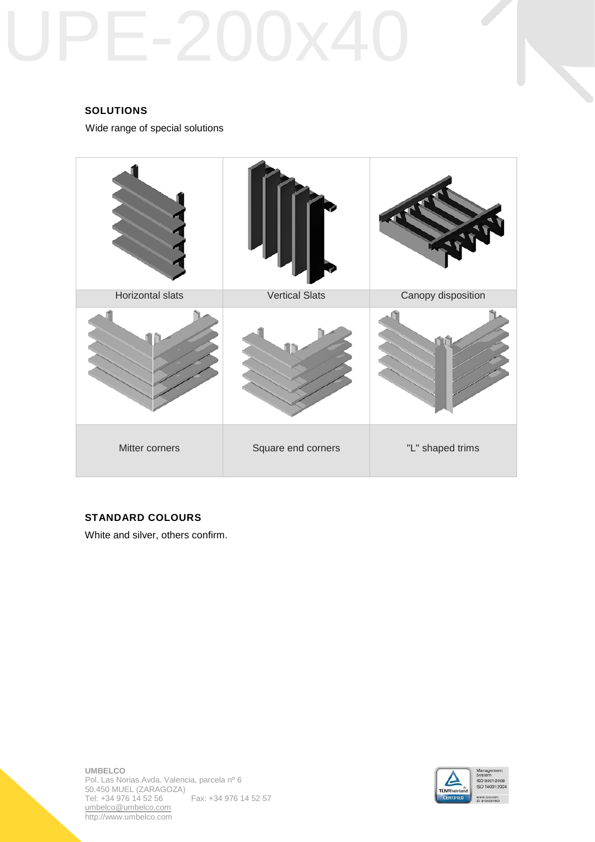# **SOLUTIONS**

Wide range of special solutions



### **STANDARD COLOURS**

White and silver, others confirm.

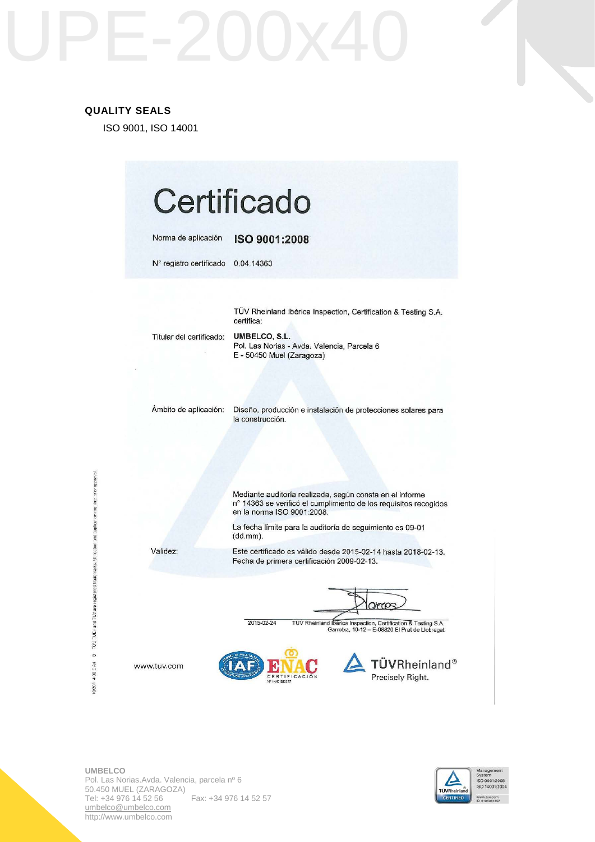### **QUALITY SEALS**

ISO 9001, ISO 14001

| Norma de aplicación      | ISO 9001:2008                                                                                                                                              |
|--------------------------|------------------------------------------------------------------------------------------------------------------------------------------------------------|
| N° registro certificado  | 0.04.14363                                                                                                                                                 |
|                          | TÜV Rheinland Ibérica Inspection, Certification & Testing S.A.                                                                                             |
| Titular del certificado: | certifica:<br>UMBELCO, S.L.<br>Pol. Las Norias - Avda. Valencia, Parcela 6<br>E - 50450 Muel (Zaragoza)                                                    |
| Ambito de aplicación:    | Diseño, producción e instalación de protecciones solares para<br>la construcción.                                                                          |
|                          | Mediante auditoría realizada, según consta en el informe<br>n° 14363 se verificó el cumplimiento de los requisitos recogidos<br>en la norma ISO 9001:2008. |
|                          | La fecha límite para la auditoría de seguimiento es 09-01<br>(dd.mm).                                                                                      |
| Validez:                 | Este certificado es válido desde 2015-02-14 hasta 2018-02-13.<br>Fecha de primera certificación 2009-02-13.                                                |
|                          | 2015-02-24<br>TÜV Rheinland Ibérica Inspection, Certification & Testing S.A.<br>Garrotxa, 10-12 - E-08820 El Prat de Llobregat                             |

10/201-4.08 E A4 3 TUV, TUEV and TUV are registered trademarks. Utilisation and application inquiries prior opproval.



**Contract Contract Contract**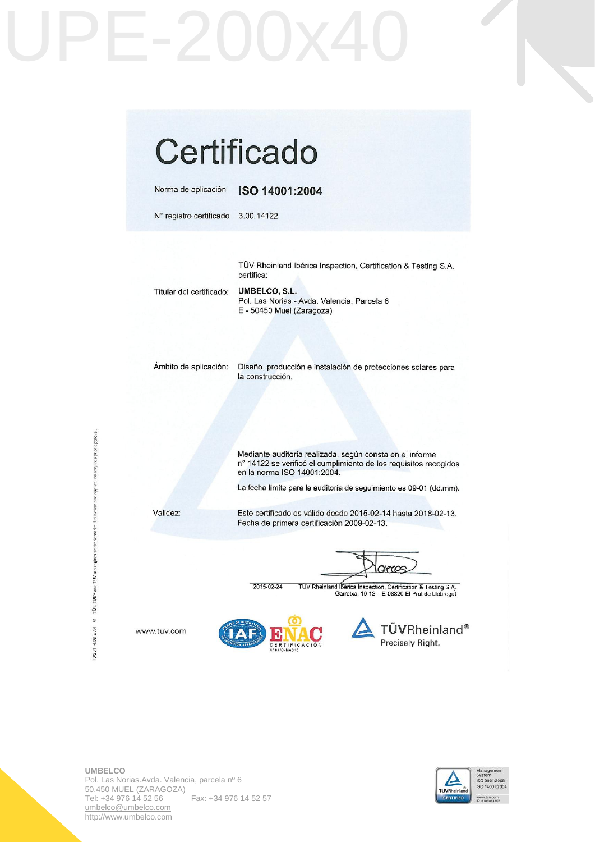

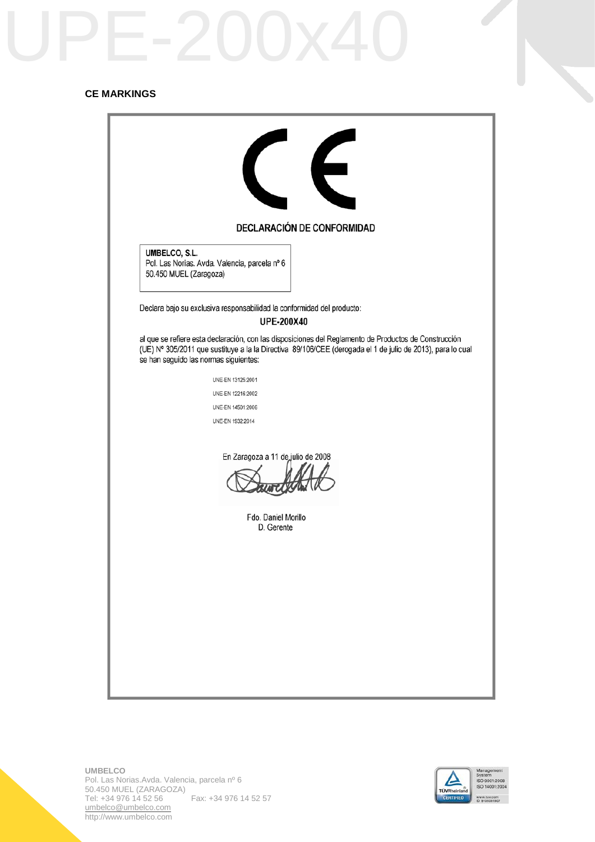### **CE MARKINGS**

| $\left($<br><b>DECLARACIÓN DE CONFORMIDAD</b>                                                                                                                                                                                                                |
|--------------------------------------------------------------------------------------------------------------------------------------------------------------------------------------------------------------------------------------------------------------|
| UMBELCO, S.L.<br>Pol. Las Norias. Avda. Valencia, parcela nº 6<br>50.450 MUEL (Zaragoza)                                                                                                                                                                     |
| Declara bajo su exclusiva responsabilidad la conformidad del producto:                                                                                                                                                                                       |
| <b>UPE-200X40</b>                                                                                                                                                                                                                                            |
| al que se refiere esta declaración, con las disposiciones del Reglamento de Productos de Construcción<br>(UE) Nº 305/2011 que sustituye a la la Directiva 89/106/CEE (derogada el 1 de julio de 2013), para lo cual<br>se han seguido las normas siguientes: |
| UNE-EN 13125:2001                                                                                                                                                                                                                                            |
| UNE-EN 12216:2002                                                                                                                                                                                                                                            |
| UNE-EN 14501:2006                                                                                                                                                                                                                                            |
| UNE-EN 1932:2014                                                                                                                                                                                                                                             |
| En Zaragoza a 11 de julio de 2008<br>Fdo. Daniel Morillo<br>D. Gerente                                                                                                                                                                                       |
|                                                                                                                                                                                                                                                              |



**Contract Contract Contract**